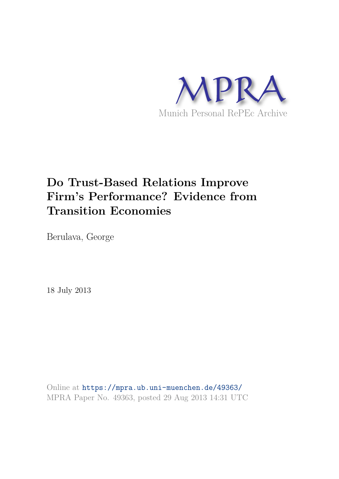

# **Do Trust-Based Relations Improve Firm's Performance? Evidence from Transition Economies**

Berulava, George

18 July 2013

Online at https://mpra.ub.uni-muenchen.de/49363/ MPRA Paper No. 49363, posted 29 Aug 2013 14:31 UTC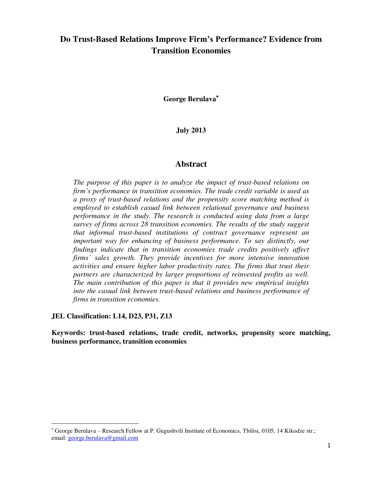# **Do Trust-Based Relations Improve Firm's Performance? Evidence from Transition Economies**

**George Berulava**

**July 2013** 

## **Abstract**

*The purpose of this paper is to analyze the impact of trust-based relations on firm's performance in transition economies. The trade credit variable is used as a proxy of trust-based relations and the propensity score matching method is employed to establish casual link between relational governance and business performance in the study. The research is conducted using data from a large survey of firms across 28 transition economies. The results of the study suggest that informal trust-based institutions of contract governance represent an important way for enhancing of business performance. To say distinctly, our findings indicate that in transition economies trade credits positively affect firms' sales growth. They provide incentives for more intensive innovation activities and ensure higher labor productivity rates. The firms that trust their partners are characterized by larger proportions of reinvested profits as well. The main contribution of this paper is that it provides new empirical insights into the casual link between trust-based relations and business performance of firms in transition economies.* 

#### **JEL Classification: L14, D23, P31, Z13**

 $\overline{a}$ 

**Keywords: trust-based relations, trade credit, networks, propensity score matching, business performance, transition economies** 

George Berulava – Research Fellow at P. Gugushvili Institute of Economics, Tbilisi, 0105, 14 Kikodze str.; email: [george.berulava@gmail.com](mailto:george.berulava@gmail.com)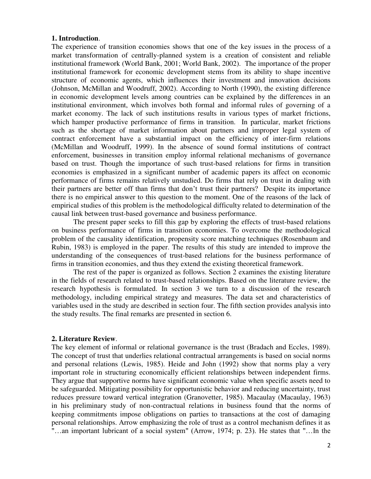#### **1. Introduction**.

The experience of transition economies shows that one of the key issues in the process of a market transformation of centrally-planned system is a creation of consistent and reliable institutional framework (World Bank, 2001; World Bank, 2002). The importance of the proper institutional framework for economic development stems from its ability to shape incentive structure of economic agents, which influences their investment and innovation decisions (Johnson, McMillan and Woodruff, 2002). According to North (1990), the existing difference in economic development levels among countries can be explained by the differences in an institutional environment, which involves both formal and informal rules of governing of a market economy. The lack of such institutions results in various types of market frictions, which hamper productive performance of firms in transition. In particular, market frictions such as the shortage of market information about partners and improper legal system of contract enforcement have a substantial impact on the efficiency of inter-firm relations (McMillan and Woodruff, 1999). In the absence of sound formal institutions of contract enforcement, businesses in transition employ informal relational mechanisms of governance based on trust. Though the importance of such trust-based relations for firms in transition economies is emphasized in a significant number of academic papers its affect on economic performance of firms remains relatively unstudied. Do firms that rely on trust in dealing with their partners are better off than firms that don't trust their partners? Despite its importance there is no empirical answer to this question to the moment. One of the reasons of the lack of empirical studies of this problem is the methodological difficulty related to determination of the causal link between trust-based governance and business performance.

The present paper seeks to fill this gap by exploring the effects of trust-based relations on business performance of firms in transition economies. To overcome the methodological problem of the causality identification, propensity score matching techniques (Rosenbaum and Rubin, 1983) is employed in the paper. The results of this study are intended to improve the understanding of the consequences of trust-based relations for the business performance of firms in transition economies, and thus they extend the existing theoretical framework.

The rest of the paper is organized as follows. Section 2 examines the existing literature in the fields of research related to trust-based relationships. Based on the literature review, the research hypothesis is formulated. In section 3 we turn to a discussion of the research methodology, including empirical strategy and measures. The data set and characteristics of variables used in the study are described in section four. The fifth section provides analysis into the study results. The final remarks are presented in section 6.

#### **2. Literature Review**.

The key element of informal or relational governance is the trust (Bradach and Eccles, 1989). The concept of trust that underlies relational contractual arrangements is based on social norms and personal relations (Lewis, 1985). Heide and John (1992) show that norms play a very important role in structuring economically efficient relationships between independent firms. They argue that supportive norms have significant economic value when specific assets need to be safeguarded. Mitigating possibility for opportunistic behavior and reducing uncertainty, trust reduces pressure toward vertical integration (Granovetter, 1985). Macaulay (Macaulay, 1963) in his preliminary study of non-contractual relations in business found that the norms of keeping commitments impose obligations on parties to transactions at the cost of damaging personal relationships. Arrow emphasizing the role of trust as a control mechanism defines it as "…an important lubricant of a social system" (Arrow, 1974; p. 23). He states that "…In the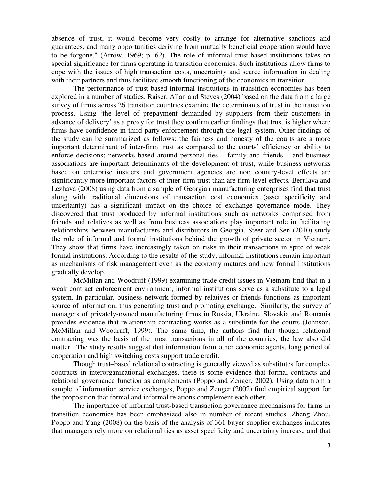absence of trust, it would become very costly to arrange for alternative sanctions and guarantees, and many opportunities deriving from mutually beneficial cooperation would have to be forgone." (Arrow, 1969; p. 62). The role of informal trust-based institutions takes on special significance for firms operating in transition economies. Such institutions allow firms to cope with the issues of high transaction costs, uncertainty and scarce information in dealing with their partners and thus facilitate smooth functioning of the economies in transition.

The performance of trust-based informal institutions in transition economies has been explored in a number of studies. Raiser, Allan and Steves (2004) based on the data from a large survey of firms across 26 transition countries examine the determinants of trust in the transition process. Using 'the level of prepayment demanded by suppliers from their customers in advance of delivery' as a proxy for trust they confirm earlier findings that trust is higher where firms have confidence in third party enforcement through the legal system. Other findings of the study can be summarized as follows: the fairness and honesty of the courts are a more important determinant of inter-firm trust as compared to the courts' efficiency or ability to enforce decisions; networks based around personal ties – family and friends – and business associations are important determinants of the development of trust, while business networks based on enterprise insiders and government agencies are not; country-level effects are significantly more important factors of inter-firm trust than are firm-level effects. Berulava and Lezhava (2008) using data from a sample of Georgian manufacturing enterprises find that trust along with traditional dimensions of transaction cost economics (asset specificity and uncertainty) has a significant impact on the choice of exchange governance mode. They discovered that trust produced by informal institutions such as networks comprised from friends and relatives as well as from business associations play important role in facilitating relationships between manufacturers and distributors in Georgia. Steer and Sen (2010) study the role of informal and formal institutions behind the growth of private sector in Vietnam. They show that firms have increasingly taken on risks in their transactions in spite of weak formal institutions. According to the results of the study, informal institutions remain important as mechanisms of risk management even as the economy matures and new formal institutions gradually develop.

McMillan and Woodruff (1999) examining trade credit issues in Vietnam find that in a weak contract enforcement environment, informal institutions serve as a substitute to a legal system. In particular, business network formed by relatives or friends functions as important source of information, thus generating trust and promoting exchange. Similarly, the survey of managers of privately-owned manufacturing firms in Russia, Ukraine, Slovakia and Romania provides evidence that relationship contracting works as a substitute for the courts (Johnson, McMillan and Woodruff, 1999). The same time, the authors find that though relational contracting was the basis of the most transactions in all of the countries, the law also did matter. The study results suggest that information from other economic agents, long period of cooperation and high switching costs support trade credit.

Though trust–based relational contracting is generally viewed as substitutes for complex contracts in interorganizational exchanges, there is some evidence that formal contracts and relational governance function as complements (Poppo and Zenger, 2002). Using data from a sample of information service exchanges, Poppo and Zenger (2002) find empirical support for the proposition that formal and informal relations complement each other.

The importance of informal trust-based transaction governance mechanisms for firms in transition economies has been emphasized also in number of recent studies. Zheng Zhou, Poppo and Yang (2008) on the basis of the analysis of 361 buyer-supplier exchanges indicates that managers rely more on relational ties as asset specificity and uncertainty increase and that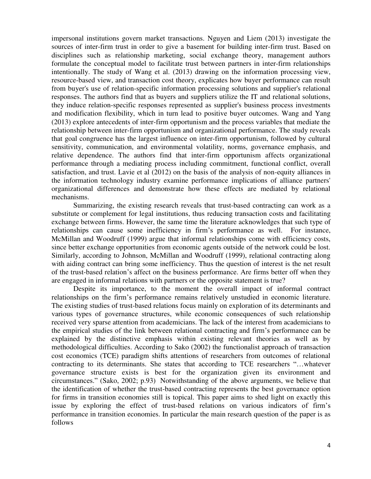impersonal institutions govern market transactions. Nguyen and Liem (2013) investigate the sources of inter-firm trust in order to give a basement for building inter-firm trust. Based on disciplines such as relationship marketing, social exchange theory, management authors formulate the conceptual model to facilitate trust between partners in inter-firm relationships intentionally. The study of Wang et al. (2013) drawing on the information processing view, resource-based view, and transaction cost theory, explicates how buyer performance can result from buyer's use of relation-specific information processing solutions and supplier's relational responses. The authors find that as buyers and suppliers utilize the IT and relational solutions, they induce relation-specific responses represented as supplier's business process investments and modification flexibility, which in turn lead to positive buyer outcomes. Wang and Yang (2013) explore antecedents of inter-firm opportunism and the process variables that mediate the relationship between inter-firm opportunism and organizational performance. The study reveals that goal congruence has the largest influence on inter-firm opportunism, followed by cultural sensitivity, communication, and environmental volatility, norms, governance emphasis, and relative dependence. The authors find that inter-firm opportunism affects organizational performance through a mediating process including commitment, functional conflict, overall satisfaction, and trust. Lavie et al (2012) on the basis of the analysis of non-equity alliances in the information technology industry examine performance implications of alliance partners' organizational differences and demonstrate how these effects are mediated by relational mechanisms.

 Summarizing, the existing research reveals that trust-based contracting can work as a substitute or complement for legal institutions, thus reducing transaction costs and facilitating exchange between firms. However, the same time the literature acknowledges that such type of relationships can cause some inefficiency in firm's performance as well. For instance, McMillan and Woodruff (1999) argue that informal relationships come with efficiency costs, since better exchange opportunities from economic agents outside of the network could be lost. Similarly, according to Johnson, McMillan and Woodruff (1999), relational contracting along with aiding contract can bring some inefficiency. Thus the question of interest is the net result of the trust-based relation's affect on the business performance. Are firms better off when they are engaged in informal relations with partners or the opposite statement is true?

Despite its importance, to the moment the overall impact of informal contract relationships on the firm's performance remains relatively unstudied in economic literature. The existing studies of trust-based relations focus mainly on exploration of its determinants and various types of governance structures, while economic consequences of such relationship received very sparse attention from academicians. The lack of the interest from academicians to the empirical studies of the link between relational contracting and firm's performance can be explained by the distinctive emphasis within existing relevant theories as well as by methodological difficulties. According to Sako (2002) the functionalist approach of transaction cost economics (TCE) paradigm shifts attentions of researchers from outcomes of relational contracting to its determinants. She states that according to TCE researchers "…whatever governance structure exists is best for the organization given its environment and circumstances." (Sako, 2002; p.93) Notwithstanding of the above arguments, we believe that the identification of whether the trust-based contracting represents the best governance option for firms in transition economies still is topical. This paper aims to shed light on exactly this issue by exploring the effect of trust-based relations on various indicators of firm's performance in transition economies. In particular the main research question of the paper is as follows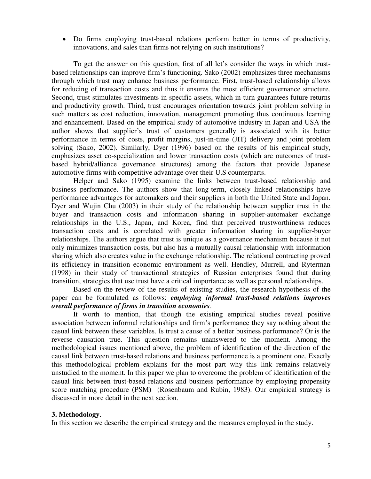Do firms employing trust-based relations perform better in terms of productivity, innovations, and sales than firms not relying on such institutions?

To get the answer on this question, first of all let's consider the ways in which trustbased relationships can improve firm's functioning. Sako (2002) emphasizes three mechanisms through which trust may enhance business performance. First, trust-based relationship allows for reducing of transaction costs and thus it ensures the most efficient governance structure. Second, trust stimulates investments in specific assets, which in turn guarantees future returns and productivity growth. Third, trust encourages orientation towards joint problem solving in such matters as cost reduction, innovation, management promoting thus continuous learning and enhancement. Based on the empirical study of automotive industry in Japan and USA the author shows that supplier's trust of customers generally is associated with its better performance in terms of costs, profit margins, just-in-time (JIT) delivery and joint problem solving (Sako, 2002). Similarly, Dyer (1996) based on the results of his empirical study, emphasizes asset co-specialization and lower transaction costs (which are outcomes of trustbased hybrid/alliance governance structures) among the factors that provide Japanese automotive firms with competitive advantage over their U.S counterparts.

Helper and Sako (1995) examine the links between trust-based relationship and business performance. The authors show that long-term, closely linked relationships have performance advantages for automakers and their suppliers in both the United State and Japan. Dyer and Wujin Chu (2003) in their study of the relationship between supplier trust in the buyer and transaction costs and information sharing in supplier-automaker exchange relationships in the U.S., Japan, and Korea, find that perceived trustworthiness reduces transaction costs and is correlated with greater information sharing in supplier-buyer relationships. The authors argue that trust is unique as a governance mechanism because it not only minimizes transaction costs, but also has a mutually causal relationship with information sharing which also creates value in the exchange relationship. The relational contracting proved its efficiency in transition economic environment as well. Hendley, Murrell, and Ryterman (1998) in their study of transactional strategies of Russian enterprises found that during transition, strategies that use trust have a critical importance as well as personal relationships.

 Based on the review of the results of existing studies, the research hypothesis of the paper can be formulated as follows: *employing informal trust-based relations improves overall performance of firms in transition economies*.

It worth to mention, that though the existing empirical studies reveal positive association between informal relationships and firm's performance they say nothing about the casual link between these variables. Is trust a cause of a better business performance? Or is the reverse causation true. This question remains unanswered to the moment. Among the methodological issues mentioned above, the problem of identification of the direction of the causal link between trust-based relations and business performance is a prominent one. Exactly this methodological problem explains for the most part why this link remains relatively unstudied to the moment. In this paper we plan to overcome the problem of identification of the casual link between trust-based relations and business performance by employing propensity score matching procedure (PSM) (Rosenbaum and Rubin, 1983). Our empirical strategy is discussed in more detail in the next section.

#### **3. Methodology**.

In this section we describe the empirical strategy and the measures employed in the study.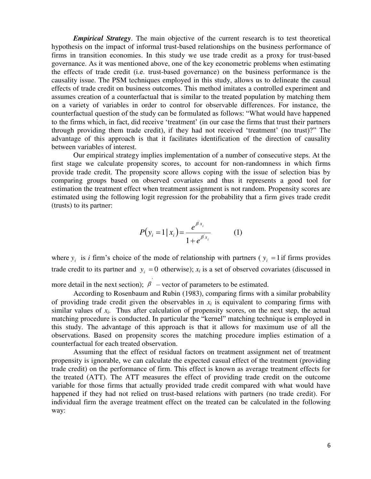*Empirical Strategy*. The main objective of the current research is to test theoretical hypothesis on the impact of informal trust-based relationships on the business performance of firms in transition economies. In this study we use trade credit as a proxy for trust-based governance. As it was mentioned above, one of the key econometric problems when estimating the effects of trade credit (i.e. trust-based governance) on the business performance is the causality issue. The PSM techniques employed in this study, allows us to delineate the casual effects of trade credit on business outcomes. This method imitates a controlled experiment and assumes creation of a counterfactual that is similar to the treated population by matching them on a variety of variables in order to control for observable differences. For instance, the counterfactual question of the study can be formulated as follows: "What would have happened to the firms which, in fact, did receive 'treatment' (in our case the firms that trust their partners through providing them trade credit), if they had not received 'treatment' (no trust)?" The advantage of this approach is that it facilitates identification of the direction of causality between variables of interest.

Our empirical strategy implies implementation of a number of consecutive steps. At the first stage we calculate propensity scores, to account for non-randomness in which firms provide trade credit. The propensity score allows coping with the issue of selection bias by comparing groups based on observed covariates and thus it represents a good tool for estimation the treatment effect when treatment assignment is not random. Propensity scores are estimated using the following logit regression for the probability that a firm gives trade credit (trusts) to its partner:

$$
P(y_i = 1 | x_i) = \frac{e^{\beta x_i}}{1 + e^{\beta x_i}} \tag{1}
$$

where  $y_i$  is *i* firm's choice of the mode of relationship with partners ( $y_i = 1$  if firms provides trade credit to its partner and  $y_i = 0$  otherwise);  $x_i$  is a set of observed covariates (discussed in

more detail in the next section);  $\beta$  – vector of parameters to be estimated.

According to Rosenbaum and Rubin (1983), comparing firms with a similar probability of providing trade credit given the observables in  $x_i$  is equivalent to comparing firms with similar values of  $x_i$ . Thus after calculation of propensity scores, on the next step, the actual matching procedure is conducted. In particular the "kernel" matching technique is employed in this study. The advantage of this approach is that it allows for maximum use of all the observations. Based on propensity scores the matching procedure implies estimation of a counterfactual for each treated observation.

Assuming that the effect of residual factors on treatment assignment net of treatment propensity is ignorable, we can calculate the expected casual effect of the treatment (providing trade credit) on the performance of firm. This effect is known as average treatment effects for the treated (ATT). The ATT measures the effect of providing trade credit on the outcome variable for those firms that actually provided trade credit compared with what would have happened if they had not relied on trust-based relations with partners (no trade credit). For individual firm the average treatment effect on the treated can be calculated in the following way: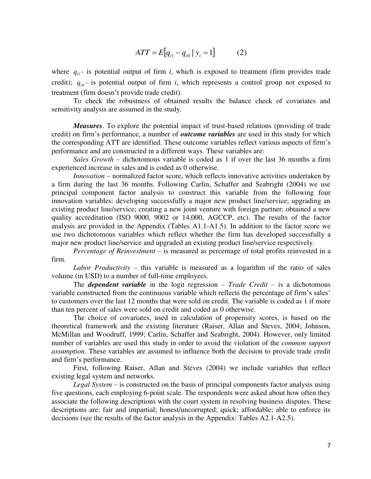$$
ATT = E[q_{i1} - q_{i0} | y_i = 1]
$$
 (2)

where  $q_{i1}$  - is potential output of firm  $i$ , which is exposed to treatment (firm provides trade credit);  $q_{i0}$ - is potential output of firm *i*, which represents a control group not exposed to treatment (firm doesn't provide trade credit).

To check the robustness of obtained results the balance check of covariates and sensitivity analysis are assumed in the study.

*Measures*. To explore the potential impact of trust-based relations (providing of trade credit) on firm's performance, a number of *outcome variables* are used in this study for which the corresponding ATT are identified. These outcome variables reflect various aspects of firm's performance and are constructed in a different ways. These variables are:

*Sales Growth* – dichotomous variable is coded as 1 if over the last 36 months a firm experienced increase in sales and is coded as 0 otherwise.

*Innovation* – normalized factor score, which reflects innovative activities undertaken by a firm during the last 36 months. Following Carlin, Schaffer and Seabright (2004) we use principal component factor analysis to construct this variable from the following four innovation variables: developing successfully a major new product line/service; upgrading an existing product line/service; creating a new joint venture with foreign partner; obtained a new quality accreditation (ISO 9000, 9002 or 14,000, AGCCP, etc). The results of the factor analysis are provided in the Appendix (Tables A1.1-A1.5). In addition to the factor score we use two dichotomous variables which reflect whether the firm has developed successfully a major new product line/service and upgraded an existing product line/service respectively.

*Percentage of Reinvestment* – is measured as percentage of total profits reinvested in a firm.

*Labor Productivity* – this variable is measured as a logarithm of the ratio of sales volume (in USD) to a number of full-time employees.

The *dependent variable* in the logit regression – *Trade Credit* – is a dichotomous variable constructed from the continuous variable which reflects the percentage of firm's sales' to customers over the last 12 months that were sold on credit. The variable is coded as 1 if more than ten percent of sales were sold on credit and coded as 0 otherwise.

The choice of covariates, used in calculation of propensity scores, is based on the theoretical framework and the existing literature (Raiser, Allan and Steves, 2004; Johnson, McMillan and Woodruff, 1999; Carlin, Schaffer and Seabright, 2004). However, only limited number of variables are used this study in order to avoid the violation of the *common support assumption*. These variables are assumed to influence both the decision to provide trade credit and firm's performance.

First, following Raiser, Allan and Steves (2004) we include variables that reflect existing legal system and networks.

*Legal System* – is constructed on the basis of principal components factor analysis using five questions, each employing 6-point scale. The respondents were asked about how often they associate the following descriptions with the court system in resolving business disputes. These descriptions are: fair and impartial; honest/uncorrupted; quick; affordable; able to enforce its decisions (see the results of the factor analysis in the Appendix: Tables A2.1-A2.5).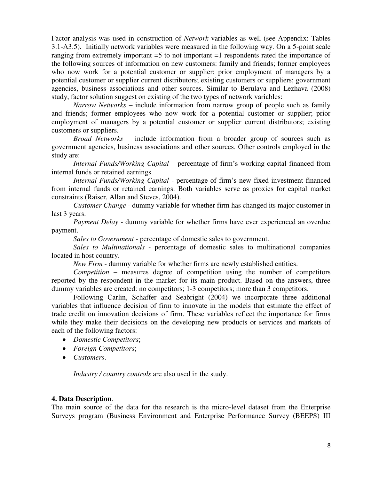Factor analysis was used in construction of *Network* variables as well (see Appendix: Tables 3.1-A3.5). Initially network variables were measured in the following way. On a 5-point scale ranging from extremely important =5 to not important =1 respondents rated the importance of the following sources of information on new customers: family and friends; former employees who now work for a potential customer or supplier; prior employment of managers by a potential customer or supplier current distributors; existing customers or suppliers; government agencies, business associations and other sources. Similar to Berulava and Lezhava (2008) study, factor solution suggest on existing of the two types of network variables:

*Narrow Networks* – include information from narrow group of people such as family and friends; former employees who now work for a potential customer or supplier; prior employment of managers by a potential customer or supplier current distributors; existing customers or suppliers.

*Broad Networks* – include information from a broader group of sources such as government agencies, business associations and other sources. Other controls employed in the study are:

*Internal Funds/Working Capital* – percentage of firm's working capital financed from internal funds or retained earnings.

 *Internal Funds/Working Capital* - percentage of firm's new fixed investment financed from internal funds or retained earnings. Both variables serve as proxies for capital market constraints (Raiser, Allan and Steves, 2004).

*Customer Change* - dummy variable for whether firm has changed its major customer in last 3 years.

*Payment Delay* - dummy variable for whether firms have ever experienced an overdue payment.

*Sales to Government* - percentage of domestic sales to government.

*Sales to Multinationals* - percentage of domestic sales to multinational companies located in host country.

*New Firm* - dummy variable for whether firms are newly established entities.

*Competition* – measures degree of competition using the number of competitors reported by the respondent in the market for its main product. Based on the answers, three dummy variables are created: no competitors; 1-3 competitors; more than 3 competitors.

Following Carlin, Schaffer and Seabright (2004) we incorporate three additional variables that influence decision of firm to innovate in the models that estimate the effect of trade credit on innovation decisions of firm. These variables reflect the importance for firms while they make their decisions on the developing new products or services and markets of each of the following factors:

- *Domestic Competitors*;
- *Foreign Competitors*;
- *Customers*.

*Industry / country controls* are also used in the study.

#### **4. Data Description**.

The main source of the data for the research is the micro-level dataset from the Enterprise Surveys program (Business Environment and Enterprise Performance Survey (BEEPS) III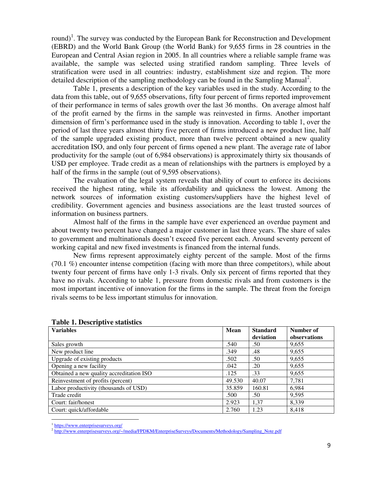round)<sup>1</sup>. The survey was conducted by the European Bank for Reconstruction and Development (EBRD) and the World Bank Group (the World Bank) for 9,655 firms in 28 countries in the European and Central Asian region in 2005. In all countries where a reliable sample frame was available, the sample was selected using stratified random sampling. Three levels of stratification were used in all countries: industry, establishment size and region. The more detailed description of the sampling methodology can be found in the Sampling Manual<sup>2</sup>.

Table 1, presents a description of the key variables used in the study. According to the data from this table, out of 9,655 observations, fifty four percent of firms reported improvement of their performance in terms of sales growth over the last 36 months. On average almost half of the profit earned by the firms in the sample was reinvested in firms. Another important dimension of firm's performance used in the study is innovation. According to table 1, over the period of last three years almost thirty five percent of firms introduced a new product line, half of the sample upgraded existing product, more than twelve percent obtained a new quality accreditation ISO, and only four percent of firms opened a new plant. The average rate of labor productivity for the sample (out of 6,984 observations) is approximately thirty six thousands of USD per employee. Trade credit as a mean of relationships with the partners is employed by a half of the firms in the sample (out of 9,595 observations).

The evaluation of the legal system reveals that ability of court to enforce its decisions received the highest rating, while its affordability and quickness the lowest. Among the network sources of information existing customers/suppliers have the highest level of credibility. Government agencies and business associations are the least trusted sources of information on business partners.

Almost half of the firms in the sample have ever experienced an overdue payment and about twenty two percent have changed a major customer in last three years. The share of sales to government and multinationals doesn't exceed five percent each. Around seventy percent of working capital and new fixed investments is financed from the internal funds.

New firms represent approximately eighty percent of the sample. Most of the firms (70.1 %) encounter intense competition (facing with more than three competitors), while about twenty four percent of firms have only 1-3 rivals. Only six percent of firms reported that they have no rivals. According to table 1, pressure from domestic rivals and from customers is the most important incentive of innovation for the firms in the sample. The threat from the foreign rivals seems to be less important stimulus for innovation.

| <b>Variables</b><br>Mean                 |        | <b>Standard</b> | Number of    |
|------------------------------------------|--------|-----------------|--------------|
|                                          |        | deviation       | observations |
| Sales growth                             | .540   | .50             | 9,655        |
| New product line                         | .349   | .48             | 9,655        |
| Upgrade of existing products             | .502   | .50             | 9,655        |
| Opening a new facility                   | .042   | .20             | 9,655        |
| Obtained a new quality accreditation ISO | .125   | .33             | 9,655        |
| Reinvestment of profits (percent)        | 49.530 | 40.07           | 7,781        |
| Labor productivity (thousands of USD)    | 35.859 | 160.81          | 6,984        |
| Trade credit                             | .500   | .50             | 9,595        |
| Court: fair/honest                       | 2.923  | 1,37            | 8,339        |
| Court: quick/affordable                  | 2.760  | 1.23            | 8,418        |

#### **Table 1. Descriptive statistics**

 $\overline{a}$ 

<sup>&</sup>lt;sup>1</sup> <https://www.enterprisesurveys.org/>

<sup>&</sup>lt;sup>2</sup> [http://www.enterprisesurveys.org/~/media/FPDKM/EnterpriseSurveys/Documents/Methodology/Sampling\\_Note.pdf](http://www.enterprisesurveys.org/~/media/FPDKM/EnterpriseSurveys/Documents/Methodology/Sampling_Note.pdf)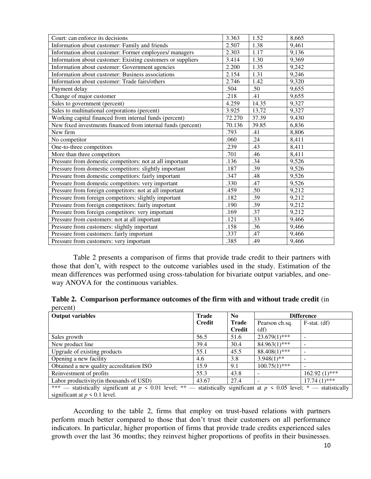| Court: can enforce its decisions                             | 3.363  | 1.52  | 8,665 |
|--------------------------------------------------------------|--------|-------|-------|
| Information about customer: Family and friends               | 2.507  | 1.38  | 9,461 |
| Information about customer: Former employees/ managers       | 2.303  | 1.17  | 9,136 |
| Information about customer: Existing customers or suppliers  | 3.414  | 1.30  | 9,369 |
| Information about customer: Government agencies              | 2.200  | 1.35  | 9,242 |
| Information about customer: Business associations            | 2.154  | 1.31  | 9,246 |
| Information about customer: Trade fairs/others               | 2.746  | 1.42  | 9,320 |
| Payment delay                                                | .504   | .50   | 9,655 |
| Change of major customer                                     | .218   | .41   | 9,655 |
| Sales to government (percent)                                | 4.259  | 14.35 | 9,327 |
| Sales to multinational corporations (percent)                | 3.925  | 13,72 | 9,327 |
| Working capital financed from internal funds (percent)       | 72.270 | 37.39 | 9,430 |
| New fixed investments financed from internal funds (percent) | 70.136 | 39.85 | 6,836 |
| New firm                                                     | .793   | .41   | 8,806 |
| No competitor                                                | .060   | .24   | 8,411 |
| One-to-three competitors                                     | .239   | .43   | 8,411 |
| More than three competitors                                  | .701   | .46   | 8,411 |
| Pressure from domestic competitors: not at all important     | .136   | .34   | 9,526 |
| Pressure from domestic competitors: slightly important       | .187   | .39   | 9,526 |
| Pressure from domestic competitors: fairly important         | .347   | .48   | 9,526 |
| Pressure from domestic competitors: very important           | .330   | .47   | 9,526 |
| Pressure from foreign competitors: not at all important      | .459   | .50   | 9,212 |
| Pressure from foreign competitors: slightly important        | .182   | .39   | 9,212 |
| Pressure from foreign competitors: fairly important          | .190   | .39   | 9,212 |
| Pressure from foreign competitors: very important            | .169   | .37   | 9,212 |
| Pressure from customers: not at all important                | .121   | .33   | 9,466 |
| Pressure from customers: slightly important                  | .158   | .36   | 9,466 |
| Pressure from customers: fairly important                    | .337   | .47   | 9,466 |
| Pressure from customers: very important                      | .385   | .49   | 9,466 |

Table 2 presents a comparison of firms that provide trade credit to their partners with those that don't, with respect to the outcome variables used in the study. Estimation of the mean differences was performed using cross-tabulation for bivariate output variables, and oneway ANOVA for the continuous variables.

|          | Table 2. Comparison performance outcomes of the firm with and without trade credit (in |
|----------|----------------------------------------------------------------------------------------|
| percent) |                                                                                        |

| <b>Output variables</b>                                                                                                        | <b>Trade</b>  | N <sub>0</sub> | <b>Difference</b> |                 |  |  |
|--------------------------------------------------------------------------------------------------------------------------------|---------------|----------------|-------------------|-----------------|--|--|
|                                                                                                                                | <b>Credit</b> | <b>Trade</b>   | Pearson ch.sq.    | $F-stat.$ (df)  |  |  |
|                                                                                                                                |               | Credit         | (df)              |                 |  |  |
| Sales growth                                                                                                                   | 56.5          | 51.6           | $23.679(1)$ ***   |                 |  |  |
| New product line                                                                                                               | 39.4          | 30.4           | $84.963(1)$ ***   |                 |  |  |
| Upgrade of existing products                                                                                                   | 55.1          | 45.5           | $88.408(1)$ ***   |                 |  |  |
| Opening a new facility                                                                                                         | 4.6           | 3.8            | $3.948(1)$ **     |                 |  |  |
| Obtained a new quality accreditation ISO                                                                                       | 15.9          | 9.1            | $100.75(1)$ ***   |                 |  |  |
| Reinvestment of profits                                                                                                        | 55.3          | 43.8           |                   | $162.92(1)$ *** |  |  |
| Labor productivity (in thousands of USD)                                                                                       | 43.67         | 27.4           |                   | $17.74(1)$ ***  |  |  |
| *** — statistically significant at $p \le 0.01$ level; ** — statistically significant at $p \le 0.05$ level; * — statistically |               |                |                   |                 |  |  |
| significant at $p \leq 0.1$ level.                                                                                             |               |                |                   |                 |  |  |

According to the table 2, firms that employ on trust-based relations with partners perform much better compared to those that don't trust their customers on all performance indicators. In particular, higher proportion of firms that provide trade credits experienced sales growth over the last 36 months; they reinvest higher proportions of profits in their businesses.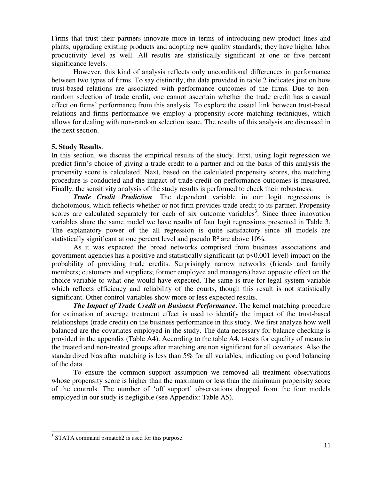Firms that trust their partners innovate more in terms of introducing new product lines and plants, upgrading existing products and adopting new quality standards; they have higher labor productivity level as well. All results are statistically significant at one or five percent significance levels.

However, this kind of analysis reflects only unconditional differences in performance between two types of firms. To say distinctly, the data provided in table 2 indicates just on how trust-based relations are associated with performance outcomes of the firms. Due to nonrandom selection of trade credit, one cannot ascertain whether the trade credit has a casual effect on firms' performance from this analysis. To explore the casual link between trust-based relations and firms performance we employ a propensity score matching techniques, which allows for dealing with non-random selection issue. The results of this analysis are discussed in the next section.

#### **5. Study Results**.

In this section, we discuss the empirical results of the study. First, using logit regression we predict firm's choice of giving a trade credit to a partner and on the basis of this analysis the propensity score is calculated. Next, based on the calculated propensity scores, the matching procedure is conducted and the impact of trade credit on performance outcomes is measured. Finally, the sensitivity analysis of the study results is performed to check their robustness.

*Trade Credit Prediction*. The dependent variable in our logit regressions is dichotomous, which reflects whether or not firm provides trade credit to its partner. Propensity scores are calculated separately for each of six outcome variables<sup>3</sup>. Since three innovation variables share the same model we have results of four logit regressions presented in Table 3. The explanatory power of the all regression is quite satisfactory since all models are statistically significant at one percent level and pseudo  $R<sup>2</sup>$  are above 10%.

 As it was expected the broad networks comprised from business associations and government agencies has a positive and statistically significant (at p<0.001 level) impact on the probability of providing trade credits. Surprisingly narrow networks (friends and family members; customers and suppliers; former employee and managers) have opposite effect on the choice variable to what one would have expected. The same is true for legal system variable which reflects efficiency and reliability of the courts, though this result is not statistically significant. Other control variables show more or less expected results.

*The Impact of Trade Credit on Business Performance*. The kernel matching procedure for estimation of average treatment effect is used to identify the impact of the trust-based relationships (trade credit) on the business performance in this study. We first analyze how well balanced are the covariates employed in the study. The data necessary for balance checking is provided in the appendix (Table A4). According to the table A4, t-tests for equality of means in the treated and non-treated groups after matching are non significant for all covariates. Also the standardized bias after matching is less than 5% for all variables, indicating on good balancing of the data.

To ensure the common support assumption we removed all treatment observations whose propensity score is higher than the maximum or less than the minimum propensity score of the controls. The number of 'off support' observations dropped from the four models employed in our study is negligible (see Appendix: Table A5).

 $\overline{a}$ 

<sup>&</sup>lt;sup>3</sup> STATA command psmatch2 is used for this purpose.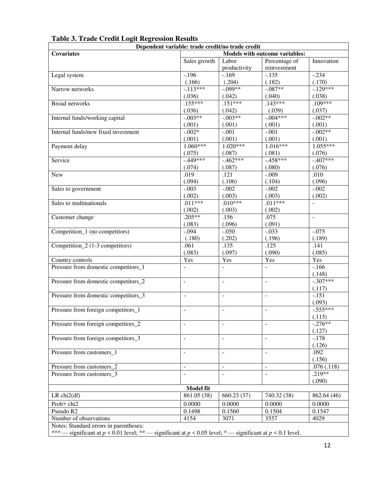|                                                                                                                        | Dependent variable: trade credit/no trade credit |                          |                                |                |
|------------------------------------------------------------------------------------------------------------------------|--------------------------------------------------|--------------------------|--------------------------------|----------------|
| <b>Covariates</b>                                                                                                      |                                                  |                          | Models with outcome variables: |                |
|                                                                                                                        | Sales growth                                     | Labor                    | Percentage of                  | Innovation     |
|                                                                                                                        |                                                  | productivity             | reinvestment                   |                |
| Legal system                                                                                                           | $-.196$                                          | $-.169$                  | $-.135$                        | $-.234$        |
|                                                                                                                        | (.166)                                           | (.204)                   | (.182)                         | (.170)         |
| Narrow networks                                                                                                        | $-113***$                                        | $-0.099**$               | $-0.087**$                     | $-129***$      |
|                                                                                                                        | (.036)                                           | (.042)                   | (.040)                         | (.038)         |
| <b>Broad networks</b>                                                                                                  | $.155***$                                        | $.151***$                | $.143***$                      | $.109***$      |
|                                                                                                                        | (.036)                                           | (.042)                   | (.039)                         | (.037)         |
| Internal funds/working capital                                                                                         | $-0.03**$                                        | $-0.03**$                | $-0.04***$                     | $-0.002**$     |
|                                                                                                                        | (.001)                                           | (.001)                   | (.001)                         | (.001)         |
| Internal funds/new fixed investment                                                                                    | $-.002*$                                         | $-.001$                  | $-.001$                        | $-0.002**$     |
|                                                                                                                        | (.001)                                           | (.001)                   | (.001)                         | (.001)         |
| Payment delay                                                                                                          | $1.060***$                                       | $1.020***$               | $1.016***$                     | $1.055***$     |
|                                                                                                                        | (.075)                                           | (.087)                   | (.081)                         | (.076)         |
| Service                                                                                                                | $-449***$                                        | $-462***$                | $-458***$                      | $-.407***$     |
|                                                                                                                        | (.074)                                           | (.087)                   | (.080)                         | (.076)         |
| <b>New</b>                                                                                                             | .019                                             | .121                     | $-.009$                        | .010           |
|                                                                                                                        | (.094)                                           | (.106)                   | (.104)                         | (.096)         |
| Sales to government                                                                                                    | $-.003$                                          | $-.002$                  | $-.002$                        | $-.002$        |
|                                                                                                                        | (.002)                                           | (.003)                   | (.003)                         | (.002)         |
| Sales to multinationals                                                                                                | $.011***$                                        | $.010***$                | $.011***$                      | $\Box$         |
|                                                                                                                        | (.002)                                           | (.003)                   | (.002)                         |                |
| Customer change                                                                                                        | $.205**$                                         | .156                     | .075                           | $\blacksquare$ |
|                                                                                                                        | (.083)                                           | (.096)                   | (.091)                         |                |
| Competition_1 (no competitors)                                                                                         | $-0.094$                                         | $-0.050$                 | $-.033$                        | $-.075$        |
|                                                                                                                        | (.180)                                           | (.202)                   | (.196)                         | (.189)         |
| Competition_2 (1-3 competitors)                                                                                        | .061                                             | .135<br>(.097)           | .125<br>(.090)                 | .141<br>(.085) |
|                                                                                                                        | (.083)                                           |                          | Yes                            | Yes            |
| Country controls<br>Pressure from domestic competitors_1                                                               | Yes<br>$\overline{a}$                            | Yes<br>$\overline{a}$    | $\overline{a}$                 | $-.166$        |
|                                                                                                                        |                                                  |                          |                                | (.148)         |
| Pressure from domestic competitors_2                                                                                   | $\mathbb{Z}^2$                                   | $\Box$                   | $\sim$                         | $-.307***$     |
|                                                                                                                        |                                                  |                          |                                | (.117)         |
| Pressure from domestic competitors_3                                                                                   | $\equiv$                                         | $\frac{1}{2}$            | $\equiv$                       | $-151$         |
|                                                                                                                        |                                                  |                          |                                | (.093)         |
| Pressure from foreign competitors_1                                                                                    | $\blacksquare$                                   | $\blacksquare$           | $\blacksquare$                 | $-.555***$     |
|                                                                                                                        |                                                  |                          |                                | (.115)         |
| Pressure from foreign competitors_2                                                                                    | $\blacksquare$                                   | $\overline{\phantom{a}}$ | $\overline{\phantom{a}}$       | $-.276**$      |
|                                                                                                                        |                                                  |                          |                                | (.127)         |
| Pressure from foreign competitors_3                                                                                    | $\blacksquare$                                   | $\blacksquare$           | $\blacksquare$                 | $-.178$        |
|                                                                                                                        |                                                  |                          |                                | (.126)         |
| Pressure from customers_1                                                                                              | $\blacksquare$                                   | $\blacksquare$           | $\blacksquare$                 | .092           |
|                                                                                                                        |                                                  |                          |                                | (.156)         |
| Pressure from customers_2                                                                                              | $\Box$                                           | $\overline{a}$           | $\blacksquare$                 | .076(.118)     |
| Pressure from customers_3                                                                                              | $\bar{\phantom{a}}$                              |                          | $\overline{\phantom{a}}$       | $.219**$       |
|                                                                                                                        |                                                  |                          |                                | (.090)         |
|                                                                                                                        | Model fit                                        |                          |                                |                |
| LR $chi2(df)$                                                                                                          | 861.05 (38)                                      | 660.23 (37)              | 740.32 (38)                    | 862.64 (46)    |
| Prob> chi2                                                                                                             | 0.0000                                           | 0.0000                   | 0.0000                         | 0.0000         |
| Pseudo R2                                                                                                              | 0.1498                                           | 0.1560                   | 0.1504                         | 0.1547         |
| Number of observations                                                                                                 | 4154                                             | 3071                     | 3557                           | 4029           |
| Notes: Standard errors in parentheses;                                                                                 |                                                  |                          |                                |                |
| *** - significant at $p \le 0.01$ level; ** - significant at $p \le 0.05$ level; * - significant at $p \le 0.1$ level. |                                                  |                          |                                |                |

**Table 3. Trade Credit Logit Regression Results**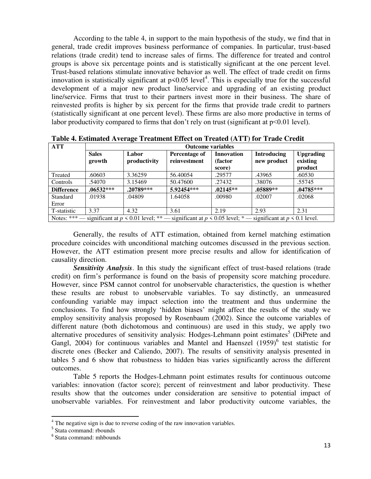According to the table 4, in support to the main hypothesis of the study, we find that in general, trade credit improves business performance of companies. In particular, trust-based relations (trade credit) tend to increase sales of firms. The difference for treated and control groups is above six percentage points and is statistically significant at the one percent level. Trust-based relations stimulate innovative behavior as well. The effect of trade credit on firms innovation is statistically significant at  $p \le 0.05$  level<sup>4</sup>. This is especially true for the successful development of a major new product line/service and upgrading of an existing product line/service. Firms that trust to their partners invest more in their business. The share of reinvested profits is higher by six percent for the firms that provide trade credit to partners (statistically significant at one percent level). These firms are also more productive in terms of labor productivity compared to firms that don't rely on trust (significant at  $p<0.01$  level).

| <b>ATT</b>        | <b>Outcome variables</b> |                       |                                                                                                                               |                               |                                   |                              |  |
|-------------------|--------------------------|-----------------------|-------------------------------------------------------------------------------------------------------------------------------|-------------------------------|-----------------------------------|------------------------------|--|
|                   | <b>Sales</b><br>growth   | Labor<br>productivity | Percentage of<br>reinvestment                                                                                                 | <b>Innovation</b><br>(factor) | <b>Introducing</b><br>new product | <b>Upgrading</b><br>existing |  |
|                   |                          |                       |                                                                                                                               | score)                        |                                   | product                      |  |
| Treated           | .60603                   | 3.36259               | 56.40054                                                                                                                      | .29577                        | .43965                            | .60530                       |  |
| Controls          | .54070                   | 3.15469               | 50.47600                                                                                                                      | .27432                        | .38076                            | .55745                       |  |
| <b>Difference</b> | $.06532***$              | .20789***             | 5.92454***                                                                                                                    | $.02145**$                    | $.05889**$                        | $.04785***$                  |  |
| Standard          | .01938                   | .04809                | 1.64058                                                                                                                       | .00980                        | .02007                            | .02068                       |  |
| Error             |                          |                       |                                                                                                                               |                               |                                   |                              |  |
| T-statistic       | 3.37                     | 4.32                  | 3.61                                                                                                                          | 2.19                          | 2.93                              | 2.31                         |  |
|                   |                          |                       | Notes: *** — significant at $p \le 0.01$ level; ** — significant at $p \le 0.05$ level; * — significant at $p \le 0.1$ level. |                               |                                   |                              |  |

**Table 4. Estimated Average Treatment Effect on Treated (ATT) for Trade Credit** 

Generally, the results of ATT estimation, obtained from kernel matching estimation procedure coincides with unconditional matching outcomes discussed in the previous section. However, the ATT estimation present more precise results and allow for identification of causality direction.

*Sensitivity Analysis*. In this study the significant effect of trust-based relations (trade credit) on firm's performance is found on the basis of propensity score matching procedure. However, since PSM cannot control for unobservable characteristics, the question is whether these results are robust to unobservable variables. To say distinctly, an unmeasured confounding variable may impact selection into the treatment and thus undermine the conclusions. To find how strongly 'hidden biases' might affect the results of the study we employ sensitivity analysis proposed by Rosenbaum (2002). Since the outcome variables of different nature (both dichotomous and continuous) are used in this study, we apply two alternative procedures of sensitivity analysis: Hodges-Lehmann point estimates<sup>5</sup> (DiPrete and Gangl,  $2004$ ) for continuous variables and Mantel and Haenszel  $(1959)^6$  test statistic for discrete ones (Becker and Caliendo, 2007). The results of sensitivity analysis presented in tables 5 and 6 show that robustness to hidden bias varies significantly across the different outcomes.

Table 5 reports the Hodges-Lehmann point estimates results for continuous outcome variables: innovation (factor score); percent of reinvestment and labor productivity. These results show that the outcomes under consideration are sensitive to potential impact of unobservable variables. For reinvestment and labor productivity outcome variables, the

 $\overline{a}$ 

<sup>&</sup>lt;sup>4</sup> The negative sign is due to reverse coding of the raw innovation variables.

<sup>&</sup>lt;sup>5</sup> Stata command: rbounds

<sup>6</sup> Stata command: mhbounds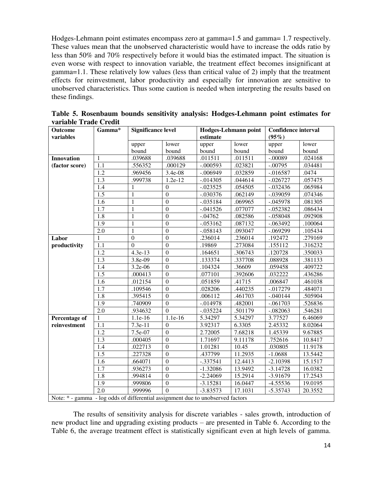Hodges-Lehmann point estimates encompass zero at gamma=1.5 and gamma= 1.7 respectively. These values mean that the unobserved characteristic would have to increase the odds ratio by less than 50% and 70% respectively before it would bias the estimated impact. The situation is even worse with respect to innovation variable, the treatment effect becomes insignificant at gamma=1.1. These relatively low values (less than critical value of 2) imply that the treatment effects for reinvestment, labor productivity and especially for innovation are sensitive to unobserved characteristics. Thus some caution is needed when interpreting the results based on these findings.

| Outcome                                                                         | Gamma*           | <b>Significance level</b> |                  |             | Hodges-Lehmann point | <b>Confidence interval</b> |         |  |
|---------------------------------------------------------------------------------|------------------|---------------------------|------------------|-------------|----------------------|----------------------------|---------|--|
| variables                                                                       |                  |                           |                  | estimate    |                      | $(95\%)$                   |         |  |
|                                                                                 |                  | upper                     | lower            | upper       | lower                | upper                      | lower   |  |
|                                                                                 |                  | bound                     | bound            | bound       | bound                | bound                      | bound   |  |
| <b>Innovation</b>                                                               | $\mathbf{1}$     | .039688                   | .039688          | .011511     | .011511              | $-.00089$                  | .024168 |  |
| (factor score)                                                                  | 1.1              | .556352                   | .000129          | $-.000593$  | .023821              | $-.00795$                  | .034481 |  |
|                                                                                 | 1.2              | .969456                   | 3.4e-08          | $-.006949$  | .032859              | $-0.016587$                | .0474   |  |
|                                                                                 | $\overline{1.3}$ | .999738                   | 1.2e-12          | $-0.014305$ | .044614              | $-.026727$                 | .057475 |  |
|                                                                                 | 1.4              | 1                         | $\mathbf{0}$     | $-0.023525$ | .054505              | $-.032436$                 | .065984 |  |
|                                                                                 | 1.5              | $\mathbf{1}$              | $\mathbf{0}$     | $-.030376$  | .062149              | $-.039059$                 | .074346 |  |
|                                                                                 | 1.6              | $\mathbf{1}$              | $\boldsymbol{0}$ | $-.035184$  | .069965              | $-.045978$                 | .081305 |  |
|                                                                                 | 1.7              | $\mathbf{1}$              | $\boldsymbol{0}$ | $-0.041526$ | .077077              | $-052382$                  | .086434 |  |
|                                                                                 | 1.8              | $\mathbf{1}$              | $\boldsymbol{0}$ | $-.04762$   | .082586              | $-.058048$                 | .092908 |  |
|                                                                                 | 1.9              | 1                         | $\mathbf{0}$     | $-.053162$  | .087132              | $-.063492$                 | .100064 |  |
|                                                                                 | 2.0              | $\mathbf{1}$              | $\mathbf{0}$     | $-0.058143$ | .093047              | $-0.69299$                 | .105434 |  |
| Labor                                                                           | 1                | $\mathbf{0}$              | $\boldsymbol{0}$ | .236014     | .236014              | .192472                    | .279169 |  |
| productivity                                                                    | 1.1              | $\overline{0}$            | $\overline{0}$   | .19869      | .273084              | .155112                    | .316232 |  |
|                                                                                 | 1.2              | 4.3e-13                   | $\boldsymbol{0}$ | .164651     | .306743              | .120728                    | .350033 |  |
|                                                                                 | 1.3              | 3.8e-09                   | $\boldsymbol{0}$ | .133374     | .337708              | .088928                    | .381133 |  |
|                                                                                 | 1.4              | 3.2e-06                   | $\boldsymbol{0}$ | .104324     | .36609               | .059458                    | .409722 |  |
|                                                                                 | 1.5              | .000413                   | $\boldsymbol{0}$ | .077101     | .392606              | .032222                    | .436286 |  |
|                                                                                 | 1.6              | .012154                   | $\boldsymbol{0}$ | .051859     | .41715               | .006847                    | .461038 |  |
|                                                                                 | 1.7              | .109546                   | $\boldsymbol{0}$ | .028206     | .440235              | $-017279$                  | .484071 |  |
|                                                                                 | 1.8              | .395415                   | $\boldsymbol{0}$ | .006112     | .461703              | $-.040144$                 | .505904 |  |
|                                                                                 | 1.9              | .740909                   | $\boldsymbol{0}$ | $-.014978$  | .482001              | $-.061703$                 | .526836 |  |
|                                                                                 | 2.0              | .934632                   | $\mathbf{0}$     | $-0.035224$ | .501179              | $-.082063$                 | .546281 |  |
| <b>Percentage of</b>                                                            | $\mathbf{1}$     | 1.1e-16                   | 1.1e-16          | 5.34297     | 5.34297              | 3.77527                    | 6.46069 |  |
| reinvestment                                                                    | 1.1              | 7.3e-11                   | $\Omega$         | 3.92317     | 6.3305               | 2.45332                    | 8.02064 |  |
|                                                                                 | 1.2              | 7.5e-07                   | $\boldsymbol{0}$ | 2.72005     | 7.68218              | 1.45339                    | 9.67885 |  |
|                                                                                 | 1.3              | .000405                   | $\boldsymbol{0}$ | 1.71697     | 9.11178              | .752616                    | 10.8417 |  |
|                                                                                 | 1.4              | .022713                   | $\boldsymbol{0}$ | 1.01281     | 10.45                | .030805                    | 11.9178 |  |
|                                                                                 | 1.5              | .227328                   | $\boldsymbol{0}$ | .437799     | 11.2935              | $-1.0688$                  | 13.5442 |  |
|                                                                                 | 1.6              | .664071                   | $\mathbf{0}$     | $-.337541$  | 12.4413              | $-2.10398$                 | 15.1517 |  |
|                                                                                 | $\overline{1.7}$ | .936273                   | $\mathbf{0}$     | $-1.32086$  | 13.9492              | $-3.14728$                 | 16.0382 |  |
|                                                                                 | 1.8              | .994814                   | $\overline{0}$   | $-2.24069$  | 15.2914              | $-3.91679$                 | 17.2543 |  |
|                                                                                 | 1.9              | .999806                   | $\overline{0}$   | $-3.15281$  | 16.0447              | $-4.55536$                 | 19.0195 |  |
|                                                                                 | $\overline{2.0}$ | .999996                   | $\overline{0}$   | $-3.83573$  | 17.1031              | $-5.35743$                 | 20.3552 |  |
| Note: * - gamma - log odds of differential assignment due to unobserved factors |                  |                           |                  |             |                      |                            |         |  |

**Table 5. Rosenbaum bounds sensitivity analysis: Hodges-Lehmann point estimates for variable Trade Credit** 

The results of sensitivity analysis for discrete variables - sales growth, introduction of new product line and upgrading existing products – are presented in Table 6. According to the Table 6, the average treatment effect is statistically significant even at high levels of gamma.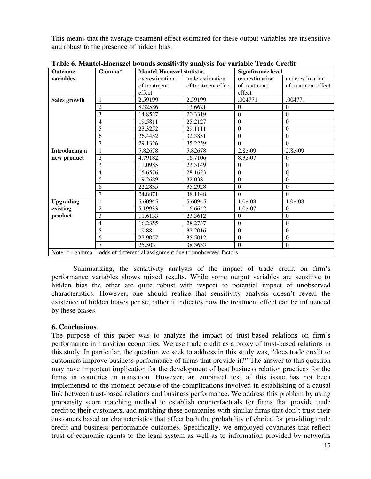This means that the average treatment effect estimated for these output variables are insensitive and robust to the presence of hidden bias.

| <b>Outcome</b>       | Gamma*         | <b>Mantel-Haenszel statistic</b> |                                                                             | <b>Significance level</b> |                     |  |
|----------------------|----------------|----------------------------------|-----------------------------------------------------------------------------|---------------------------|---------------------|--|
| variables            |                | overestimation                   | underestimation                                                             | overestimation            | underestimation     |  |
|                      |                | of treatment                     | of treatment effect                                                         | of treatment              | of treatment effect |  |
|                      |                | effect                           |                                                                             | effect                    |                     |  |
| Sales growth         | 1              | 2.59199                          | 2.59199                                                                     | .004771                   | .004771             |  |
|                      | $\overline{c}$ | 8.32586                          | 13.6621                                                                     | $\mathbf{0}$              | $\Omega$            |  |
|                      | 3              | 14.8527                          | 20.3319                                                                     | $\Omega$                  | $\Omega$            |  |
|                      | 4              | 19.5811                          | 25.2127                                                                     | $\Omega$                  | $\Omega$            |  |
|                      | 5              | 23.3252                          | 29.1111                                                                     | $\Omega$                  | $\boldsymbol{0}$    |  |
|                      | 6              | 26.4452                          | 32.3851                                                                     | $\mathbf{0}$              | $\overline{0}$      |  |
|                      | $\overline{7}$ | 29.1326                          | 35.2259                                                                     | $\Omega$                  | $\Omega$            |  |
| <b>Introducing a</b> |                | 5.82678                          | 5.82678                                                                     | 2.8e-09                   | 2.8e-09             |  |
| new product          | $\overline{2}$ | 4.79182                          | 16.7106                                                                     | 8.3e-07                   | $\overline{0}$      |  |
|                      | 3              | 11.0985                          | 23.3149                                                                     | $\Omega$                  | $\boldsymbol{0}$    |  |
|                      | 4              | 15.6576                          | 28.1623                                                                     | $\mathbf{0}$              | $\Omega$            |  |
|                      | 5              | 19.2689                          | 32.038                                                                      | $\mathbf{0}$              | $\boldsymbol{0}$    |  |
|                      | 6              | 22.2835                          | 35.2928                                                                     | $\mathbf{0}$              | $\boldsymbol{0}$    |  |
|                      | $\overline{7}$ | 24.8871                          | 38.1148                                                                     | $\Omega$                  | $\Omega$            |  |
| <b>Upgrading</b>     |                | 5.60945                          | 5.60945                                                                     | 1.0e-08                   | 1.0e-08             |  |
| existing             | $\overline{2}$ | 5.19933                          | 16.6642                                                                     | 1.0e-07                   | $\overline{0}$      |  |
| product              | 3              | 11.6133                          | 23.3612                                                                     | $\mathbf{0}$              | $\mathbf{0}$        |  |
|                      | $\overline{4}$ | 16.2355                          | 28.2737                                                                     | $\boldsymbol{0}$          | $\overline{0}$      |  |
|                      | 5              | 19.88                            | 32.2016                                                                     | $\mathbf{0}$              | $\overline{0}$      |  |
|                      | 6              | 22.9057                          | 35.5012                                                                     | $\mathbf{0}$              | $\boldsymbol{0}$    |  |
|                      |                | 25.503                           | 38.3633                                                                     | $\Omega$                  | $\Omega$            |  |
|                      |                |                                  | Note: * - gamma - odds of differential assignment due to unobserved factors |                           |                     |  |

**Table 6. Mantel-Haenszel bounds sensitivity analysis for variable Trade Credit** 

Summarizing, the sensitivity analysis of the impact of trade credit on firm's performance variables shows mixed results. While some output variables are sensitive to hidden bias the other are quite robust with respect to potential impact of unobserved characteristics. However, one should realize that sensitivity analysis doesn't reveal the existence of hidden biases per se; rather it indicates how the treatment effect can be influenced by these biases.

## **6. Conclusions**.

The purpose of this paper was to analyze the impact of trust-based relations on firm's performance in transition economies. We use trade credit as a proxy of trust-based relations in this study. In particular, the question we seek to address in this study was, "does trade credit to customers improve business performance of firms that provide it?" The answer to this question may have important implication for the development of best business relation practices for the firms in countries in transition. However, an empirical test of this issue has not been implemented to the moment because of the complications involved in establishing of a causal link between trust-based relations and business performance. We address this problem by using propensity score matching method to establish counterfactuals for firms that provide trade credit to their customers, and matching these companies with similar firms that don't trust their customers based on characteristics that affect both the probability of choice for providing trade credit and business performance outcomes. Specifically, we employed covariates that reflect trust of economic agents to the legal system as well as to information provided by networks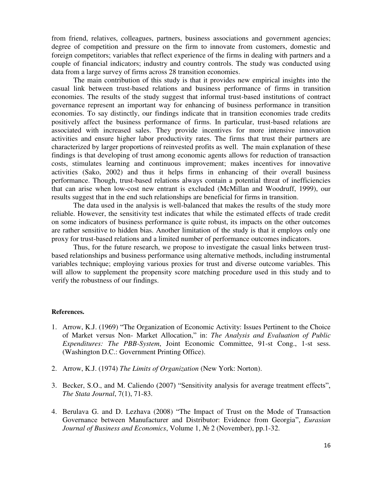from friend, relatives, colleagues, partners, business associations and government agencies; degree of competition and pressure on the firm to innovate from customers, domestic and foreign competitors; variables that reflect experience of the firms in dealing with partners and a couple of financial indicators; industry and country controls. The study was conducted using data from a large survey of firms across 28 transition economies.

The main contribution of this study is that it provides new empirical insights into the casual link between trust-based relations and business performance of firms in transition economies. The results of the study suggest that informal trust-based institutions of contract governance represent an important way for enhancing of business performance in transition economies. To say distinctly, our findings indicate that in transition economies trade credits positively affect the business performance of firms. In particular, trust-based relations are associated with increased sales. They provide incentives for more intensive innovation activities and ensure higher labor productivity rates. The firms that trust their partners are characterized by larger proportions of reinvested profits as well. The main explanation of these findings is that developing of trust among economic agents allows for reduction of transaction costs, stimulates learning and continuous improvement; makes incentives for innovative activities (Sako, 2002) and thus it helps firms in enhancing of their overall business performance. Though, trust-based relations always contain a potential threat of inefficiencies that can arise when low-cost new entrant is excluded (McMillan and Woodruff, 1999), our results suggest that in the end such relationships are beneficial for firms in transition.

The data used in the analysis is well-balanced that makes the results of the study more reliable. However, the sensitivity test indicates that while the estimated effects of trade credit on some indicators of business performance is quite robust, its impacts on the other outcomes are rather sensitive to hidden bias. Another limitation of the study is that it employs only one proxy for trust-based relations and a limited number of performance outcomes indicators.

Thus, for the future research, we propose to investigate the casual links between trustbased relationships and business performance using alternative methods, including instrumental variables technique; employing various proxies for trust and diverse outcome variables. This will allow to supplement the propensity score matching procedure used in this study and to verify the robustness of our findings.

#### **References.**

- 1. Arrow, K.J. (1969) "The Organization of Economic Activity: Issues Pertinent to the Choice of Market versus Non- Market Allocation," in: *The Analysis and Evaluation of Public Expenditures: The PBB-System*, Joint Economic Committee, 91-st Cong., 1-st sess. (Washington D.C.: Government Printing Office).
- 2. Arrow, K.J. (1974) *The Limits of Organization* (New York: Norton).
- 3. Becker, S.O., and M. Caliendo (2007) "Sensitivity analysis for average treatment effects", *The Stata Journal*, 7(1), 71-83.
- 4. Berulava G. and D. Lezhava (2008) "The Impact of Trust on the Mode of Transaction Governance between Manufacturer and Distributor: Evidence from Georgia", *Eurasian Journal of Business and Economics*, Volume 1, № 2 (November), pp.1-32.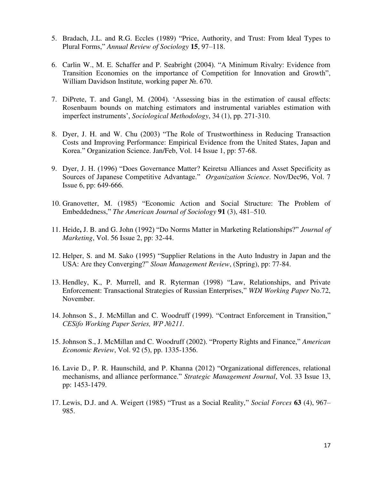- 5. Bradach, J.L. and R.G. Eccles (1989) "Price, Authority, and Trust: From Ideal Types to Plural Forms," *Annual Review of Sociology* **15**, 97–118.
- 6. Carlin W., M. E. Schaffer and P. Seabright (2004). "A Minimum Rivalry: Evidence from Transition Economies on the importance of Competition for Innovation and Growth", William Davidson Institute, working paper №. 670.
- 7. DiPrete, T. and Gangl, M. (2004). 'Assessing bias in the estimation of causal effects: Rosenbaum bounds on matching estimators and instrumental variables estimation with imperfect instruments', *Sociological Methodology*, 34 (1), pp. 271-310.
- 8. Dyer, J. H. and W. Chu (2003) "The Role of Trustworthiness in Reducing Transaction Costs and Improving Performance: Empirical Evidence from the United States, Japan and Korea." Organization Science. Jan/Feb, Vol. 14 Issue 1, pp: 57-68.
- 9. Dyer, J. H. (1996) "[Does Governance Matter? Keiretsu](http://web.ebscohost.com/ehost/viewarticle?data=dGJyMPPp44rp2%2fdV0%2bnjisfk5Ie46bRRrq%2buS7Ck63nn5Kx95uXxjL6srUmxpbBIr6meS7inrlKyrp5Zy5zyit%2fk8Xnh6ueH7N%2fiVaunskm0rK5Nr6yyPurX7H%2b72%2bw%2b4ti7evPepIzf3btZzJzfhruqskuzra5JpNztiuvX8lXk6%2bqE8tv2jAAA&hid=121) Alliances and Asset Specificity as [Sources of Japanese Competitive Advantage."](http://web.ebscohost.com/ehost/viewarticle?data=dGJyMPPp44rp2%2fdV0%2bnjisfk5Ie46bRRrq%2buS7Ck63nn5Kx95uXxjL6srUmxpbBIr6meS7inrlKyrp5Zy5zyit%2fk8Xnh6ueH7N%2fiVaunskm0rK5Nr6yyPurX7H%2b72%2bw%2b4ti7evPepIzf3btZzJzfhruqskuzra5JpNztiuvX8lXk6%2bqE8tv2jAAA&hid=121) *Organization Science*. Nov/Dec96, Vol. 7 Issue 6, pp: 649-666.
- 10. Granovetter, M. (1985) "Economic Action and Social Structure: The Problem of Embeddedness," *The American Journal of Sociology* **91** (3), 481–510.
- 11. Heide**,** J. B. and G. John (1992) ["Do Norms Matter in Marketing Relationships?"](http://web.ebscohost.com/ehost/viewarticle?data=dGJyMPPp44rp2%2fdV0%2bnjisfk5Ie46bRRrq%2buS7Ck63nn5Kx95uXxjL6srUm0pbBIr6meTrimslKzq55Zy5zyit%2fk8Xnh6ueH7N%2fiVauts0qwrbJRrq%2bkhN%2fk5VXj5KR84LPgjeac8nnls79mpNfsVbeorlCxp65OtKukfu3o63nys%2bSN6uLyffbq&hid=114) *Journal of Marketing*, Vol. 56 Issue 2, pp: 32-44.
- 12. Helper, S. and M. Sako (1995) "Supplier Relations in the Auto Industry in Japan and the USA: Are they Converging?" *Sloan Management Review*, (Spring), pp: 77-84.
- 13. Hendley, K., P. Murrell, and R. Ryterman (1998) "Law, Relationships, and Private Enforcement: Transactional Strategies of Russian Enterprises," *WDI Working Paper* No.72, November.
- 14. Johnson S., J. McMillan and C. Woodruff (1999). "Contract Enforcement in Transition," *CESifo Working Paper Series, WP №211.*
- 15. Johnson S., J. McMillan and C. Woodruff (2002). "Property Rights and Finance," *American Economic Review*, Vol. 92 (5), pp. 1335-1356.
- 16. Lavie D., P. R. Haunschild, and P. Khanna (2012) "[Organizational differences, relational](http://web.ebscohost.com/ehost/viewarticle?data=dGJyMPPp44rp2%2fdV0%2bnjisfk5Ie46bRRrq%2buS7Ck63nn5Kx95uXxjL6srUm0pbBIr6meTbipt1KzqJ5Zy5zyit%2fk8Xnh6ueH7N%2fiVauts0qwrbJRrq%2bkhN%2fk5VXj5KR84LPgjeac8nnls79mpNfsVbaotEm0prNKpNztiuvX8lXk6%2bqE8tv2jAAA&hid=114)  [mechanisms, and alliance performance."](http://web.ebscohost.com/ehost/viewarticle?data=dGJyMPPp44rp2%2fdV0%2bnjisfk5Ie46bRRrq%2buS7Ck63nn5Kx95uXxjL6srUm0pbBIr6meTbipt1KzqJ5Zy5zyit%2fk8Xnh6ueH7N%2fiVauts0qwrbJRrq%2bkhN%2fk5VXj5KR84LPgjeac8nnls79mpNfsVbaotEm0prNKpNztiuvX8lXk6%2bqE8tv2jAAA&hid=114) *Strategic Management Journal*, Vol. 33 Issue 13, pp: 1453-1479.
- 17. Lewis, D.J. and A. Weigert (1985) "Trust as a Social Reality," *Social Forces* **63** (4), 967– 985.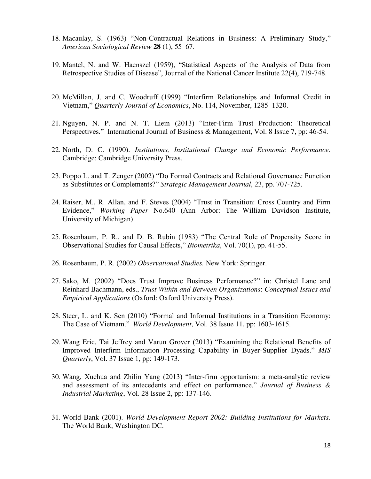- 18. Macaulay, S. (1963) "Non-Contractual Relations in Business: A Preliminary Study," *American Sociological Review* **28** (1), 55–67.
- 19. Mantel, N. and W. Haenszel (1959), "Statistical Aspects of the Analysis of Data from Retrospective Studies of Disease", Journal of the National Cancer Institute 22(4), 719-748.
- 20. McMillan, J. and C. Woodruff (1999) "Interfirm Relationships and Informal Credit in Vietnam," *Quarterly Journal of Economics*, No. 114, November, 1285–1320.
- 21. Nguyen, N. P. and N. T. Liem (2013) "Inter-Firm Trust [Production: Theoretical](http://web.ebscohost.com/ehost/viewarticle?data=dGJyMPPp44rp2%2fdV0%2bnjisfk5Ie46bRRrq%2buS7Ck63nn5Kx95uXxjL6srUm0pbBIr6meTbipt1KzqJ5Zy5zyit%2fk8Xnh6ueH7N%2fiVauts0qwrbJRrq%2bkhN%2fk5VXj5KR84LPgjeac8nnls79mpNfsVbatrky0r7dQpNztiuvX8lXk6%2bqE8tv2jAAA&hid=114)  [Perspectives."](http://web.ebscohost.com/ehost/viewarticle?data=dGJyMPPp44rp2%2fdV0%2bnjisfk5Ie46bRRrq%2buS7Ck63nn5Kx95uXxjL6srUm0pbBIr6meTbipt1KzqJ5Zy5zyit%2fk8Xnh6ueH7N%2fiVauts0qwrbJRrq%2bkhN%2fk5VXj5KR84LPgjeac8nnls79mpNfsVbatrky0r7dQpNztiuvX8lXk6%2bqE8tv2jAAA&hid=114) International Journal of Business & Management, Vol. 8 Issue 7, pp: 46-54.
- 22. North, D. C. (1990). *Institutions, Institutional Change and Economic Performance*. Cambridge: Cambridge University Press.
- 23. Poppo L. and T. Zenger (2002) "Do Formal Contracts and Relational Governance Function as Substitutes or Complements?" *Strategic Management Journal*, 23, pp. 707-725.
- 24. Raiser, M., R. Allan, and F. Steves (2004) "Trust in Transition: Cross Country and Firm Evidence," *Working Paper* No.640 (Ann Arbor: The William Davidson Institute, University of Michigan).
- 25. Rosenbaum, P. R., and D. B. Rubin (1983) "The Central Role of Propensity Score in Observational Studies for Causal Effects," *Biometrika*, Vol. 70(1), pp. 41-55.
- 26. Rosenbaum, P. R. (2002) *Observational Studies.* New York: Springer.
- 27. Sako, M. (2002) "Does Trust Improve Business Performance?" in: Christel Lane and Reinhard Bachmann, eds., *Trust Within and Between Organizations*: *Conceptual Issues and Empirical Applications* (Oxford: Oxford University Press).
- 28. Steer, L. and K. Sen (2010) "Formal and Informal [Institutions in a Transition Economy:](http://web.ebscohost.com/ehost/viewarticle?data=dGJyMPPp44rp2%2fdV0%2bnjisfk5Ie46bRRrq%2buS7Ck63nn5Kx95uXxjL6srUm0pbBIr6meTbipt1KzqJ5Zy5zyit%2fk8Xnh6ueH7N%2fiVauts0qwrbJRrq%2bkhN%2fk5VXj5KR84LPfiOac8nnls79mpNfsVbOqr0ixqrNRpNztiuvX8lXk6%2bqE8tv2jAAA&hid=114)  [The Case of Vietnam."](http://web.ebscohost.com/ehost/viewarticle?data=dGJyMPPp44rp2%2fdV0%2bnjisfk5Ie46bRRrq%2buS7Ck63nn5Kx95uXxjL6srUm0pbBIr6meTbipt1KzqJ5Zy5zyit%2fk8Xnh6ueH7N%2fiVauts0qwrbJRrq%2bkhN%2fk5VXj5KR84LPfiOac8nnls79mpNfsVbOqr0ixqrNRpNztiuvX8lXk6%2bqE8tv2jAAA&hid=114) *World Development*, Vol. 38 Issue 11, pp: 1603-1615.
- 29. Wang Eric, Tai Jeffrey and Varun Grover (2013) "Examining the Relational Benefits of Improved Interfirm Information Processing Capability in Buyer-Supplier Dyads." *MIS Quarterly*, Vol. 37 Issue 1, pp: 149-173.
- 30. Wang, Xuehua and Zhilin Yang (2013) "[Inter-firm opportunism: a meta-analytic review](http://web.ebscohost.com/ehost/viewarticle?data=dGJyMPPp44rp2%2fdV0%2bnjisfk5Ie46bRRrq%2buS7Ck63nn5Kx95uXxjL6srUm0pbBIr6meTLirtlKvr55Zy5zyit%2fk8Xnh6ueH7N%2fiVauts0qwrbJRrq%2bkhN%2fk5VXj5KR84LPgjeac8nnls79mpNfsVbarskuwrrJNpNztiuvX8lXk6%2bqE8tv2jAAA&hid=114)  [and assessment of its antecedents and effect on performance."](http://web.ebscohost.com/ehost/viewarticle?data=dGJyMPPp44rp2%2fdV0%2bnjisfk5Ie46bRRrq%2buS7Ck63nn5Kx95uXxjL6srUm0pbBIr6meTLirtlKvr55Zy5zyit%2fk8Xnh6ueH7N%2fiVauts0qwrbJRrq%2bkhN%2fk5VXj5KR84LPgjeac8nnls79mpNfsVbarskuwrrJNpNztiuvX8lXk6%2bqE8tv2jAAA&hid=114) *Journal of Business & Industrial Marketing*, Vol. 28 Issue 2, pp: 137-146.
- 31. World Bank (2001). *World Development Report 2002: Building Institutions for Markets*. The World Bank, Washington DC.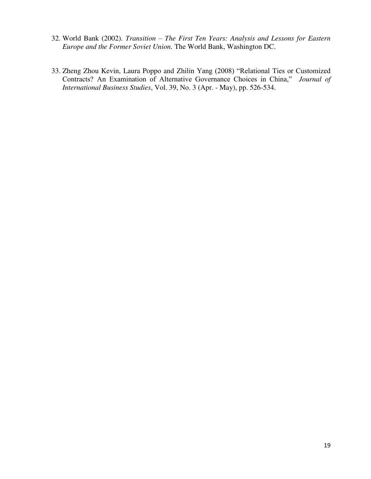- 32. World Bank (2002). *Transition – The First Ten Years: Analysis and Lessons for Eastern Europe and the Former Soviet Union.* The World Bank, Washington DC.
- 33. Zheng Zhou Kevin, Laura Poppo and Zhilin Yang (2008) "Relational Ties or Customized Contracts? An Examination of Alternative Governance Choices in China," *Journal of International Business Studies*, Vol. 39, No. 3 (Apr. - May), pp. 526-534.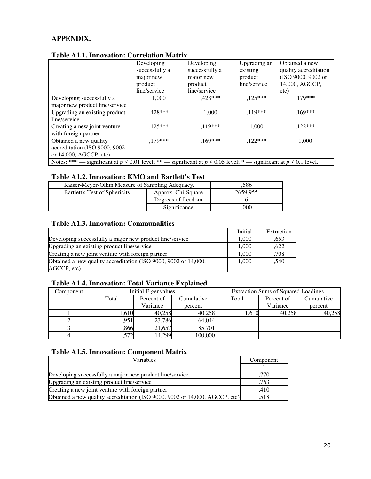## **APPENDIX.**

|                                                                                                                               | Developing     | Developing     | Upgrading an | Obtained a new        |
|-------------------------------------------------------------------------------------------------------------------------------|----------------|----------------|--------------|-----------------------|
|                                                                                                                               | successfully a | successfully a | existing     | quality accreditation |
|                                                                                                                               | major new      | major new      | product      | (ISO 9000, 9002 or    |
|                                                                                                                               | product        | product        | line/service | 14,000, AGCCP,        |
|                                                                                                                               | line/service   | line/service   |              | etc)                  |
| Developing successfully a                                                                                                     | 1.000          | $,428***$      | $,125***$    | $.179***$             |
| major new product line/service                                                                                                |                |                |              |                       |
| Upgrading an existing product                                                                                                 | $.428***$      | 1,000          | $.119***$    | $0.169***$            |
| line/service                                                                                                                  |                |                |              |                       |
| Creating a new joint venture                                                                                                  | $.125***$      | $,119***$      | 1,000        | $,122***$             |
| with foreign partner                                                                                                          |                |                |              |                       |
| Obtained a new quality                                                                                                        | $.179***$      | $.169***$      | $.122***$    | 1,000                 |
| accreditation (ISO 9000, 9002                                                                                                 |                |                |              |                       |
| or 14,000, AGCCP, etc)                                                                                                        |                |                |              |                       |
| Notes: *** - significant at $p \le 0.01$ level; ** - significant at $p \le 0.05$ level; * - significant at $p \le 0.1$ level. |                |                |              |                       |

## **Table A1.1. Innovation: Correlation Matrix**

## **Table A1.2. Innovation: KMO and Bartlett's Test**

| Kaiser-Meyer-Olkin Measure of Sampling Adequacy. | .586               |          |
|--------------------------------------------------|--------------------|----------|
| Bartlett's Test of Sphericity                    | Approx. Chi-Square | 2659.955 |
|                                                  | Degrees of freedom |          |
|                                                  | Significance       | .000     |

#### **Table A1.3. Innovation: Communalities**

|                                                                 | Initial | Extraction |
|-----------------------------------------------------------------|---------|------------|
| Developing successfully a major new product line/service        | 1.000   | .653       |
| Upgrading an existing product line/service                      | 1.000   | ,622       |
| Creating a new joint venture with foreign partner               | 1.000   | ,708       |
| Obtained a new quality accreditation (ISO 9000, 9002 or 14,000, | 1.000   | ,540       |
| AGCCP, etc)                                                     |         |            |

## **Table A1.4. Innovation: Total Variance Explained**

| Component | Initial Eigenvalues |            |            |       | <b>Extraction Sums of Squared Loadings</b> |            |
|-----------|---------------------|------------|------------|-------|--------------------------------------------|------------|
|           | Total               | Percent of | Cumulative | Total | Percent of                                 | Cumulative |
|           |                     | Variance   | percent    |       | Variance                                   | percent    |
|           | .,610               | 40.258     | 40.258     | 1.610 | 40.258                                     | 40,258     |
|           | ,951                | 23,786     | 64,044     |       |                                            |            |
|           | ,866                | 21,657     | 85,701     |       |                                            |            |
|           | ,572                | 14,299     | 100,000    |       |                                            |            |

## **Table A1.5. Innovation: Component Matrix**

| <b>Variables</b>                                                            | Component |
|-----------------------------------------------------------------------------|-----------|
|                                                                             |           |
| Developing successfully a major new product line/service                    | 770       |
| Upgrading an existing product line/service                                  | .763      |
| Creating a new joint venture with foreign partner                           | .410      |
| Obtained a new quality accreditation (ISO 9000, 9002 or 14,000, AGCCP, etc) | .518      |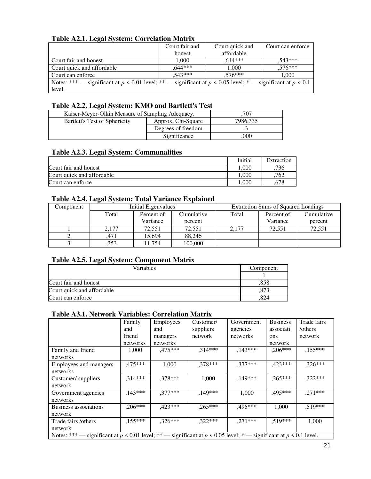## **Table A2.1. Legal System: Correlation Matrix**

|                                                                                                                        | Court fair and | Court quick and | Court can enforce |  |
|------------------------------------------------------------------------------------------------------------------------|----------------|-----------------|-------------------|--|
|                                                                                                                        | honest         | affordable      |                   |  |
| Court fair and honest                                                                                                  | 1.000          | $.644***$       | $.543***$         |  |
| Court quick and affordable                                                                                             | $.644***$      | 1.000           | $,576***$         |  |
| Court can enforce                                                                                                      | $.543***$      | $.576***$       | 1.000             |  |
| Notes: *** - significant at $p \le 0.01$ level; ** - significant at $p \le 0.05$ level; * - significant at $p \le 0.1$ |                |                 |                   |  |
| level.                                                                                                                 |                |                 |                   |  |

## **Table A2.2. Legal System: KMO and Bartlett's Test**

| Kaiser-Meyer-Olkin Measure of Sampling Adequacy. | .707               |          |
|--------------------------------------------------|--------------------|----------|
| Bartlett's Test of Sphericity                    | Approx. Chi-Square | 7986,335 |
|                                                  | Degrees of freedom |          |
|                                                  | Significance       | .000     |

## **Table A2.3. Legal System: Communalities**

|                            | Initial | Extraction |
|----------------------------|---------|------------|
| Court fair and honest      | .000    | 736        |
| Court quick and affordable | .000    | 762        |
| Court can enforce          | .000    | .678       |

## **Table A2.4. Legal System: Total Variance Explained**

| Component | Initial Eigenvalues |            |            | <b>Extraction Sums of Squared Loadings</b> |            |            |
|-----------|---------------------|------------|------------|--------------------------------------------|------------|------------|
|           | Total               | Percent of | Cumulative | Total                                      | Percent of | Cumulative |
|           |                     | Variance   | percent    |                                            | Variance   | percent    |
|           | 2.177               | 72,551     | 72,551     | 2.177                                      | 72.551     | 72,551     |
|           | 471                 | 15.694     | 88.246     |                                            |            |            |
|           | ,353                | 1.754      | 100.000    |                                            |            |            |

## **Table A2.5. Legal System: Component Matrix**

| Variables                  | Component |
|----------------------------|-----------|
|                            |           |
| Court fair and honest      |           |
| Court quick and affordable |           |
| Court can enforce          | 624       |

## **Table A3.1. Network Variables: Correlation Matrix**

|                                                                                                                               | Family    | Employees | Customer/ | Government | <b>Business</b> | Trade fairs |
|-------------------------------------------------------------------------------------------------------------------------------|-----------|-----------|-----------|------------|-----------------|-------------|
|                                                                                                                               | and       | and       | suppliers | agencies   | associati       | /others     |
|                                                                                                                               | friend    | managers  | network   | networks   | ons             | network     |
|                                                                                                                               | networks  | networks  |           |            | network         |             |
| Family and friend                                                                                                             | 1,000     | $,475***$ | $,314***$ | $,143***$  | $,206***$       | $.155***$   |
| networks                                                                                                                      |           |           |           |            |                 |             |
| Employees and managers                                                                                                        | $,475***$ | 1,000     | ,378***   | $,377***$  | ,423***         | $,326***$   |
| networks                                                                                                                      |           |           |           |            |                 |             |
| Customer/suppliers                                                                                                            | $,314***$ | $.378***$ | 1,000     | $,149***$  | $,265***$       | $,322***$   |
| network                                                                                                                       |           |           |           |            |                 |             |
| Government agencies                                                                                                           | $,143***$ | $.377***$ | $,149***$ | 1,000      | ,495***         | $,271***$   |
| networks                                                                                                                      |           |           |           |            |                 |             |
| <b>Business associations</b>                                                                                                  | $,206***$ | $,423***$ | $,265***$ | $,495***$  | 1,000           | $,519***$   |
| network                                                                                                                       |           |           |           |            |                 |             |
| Trade fairs / others                                                                                                          | $,155***$ | $,326***$ | $,322***$ | $,271***$  | $.519***$       | 1,000       |
| network                                                                                                                       |           |           |           |            |                 |             |
| Notes: *** — significant at $p \le 0.01$ level; ** — significant at $p \le 0.05$ level; * — significant at $p \le 0.1$ level. |           |           |           |            |                 |             |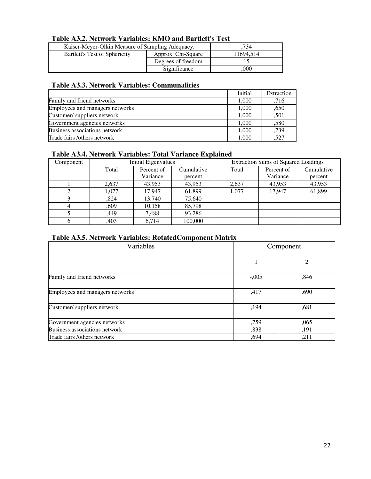|  |  | Table A3.2. Network Variables: KMO and Bartlett's Test |  |
|--|--|--------------------------------------------------------|--|
|--|--|--------------------------------------------------------|--|

| Kaiser-Meyer-Olkin Measure of Sampling Adequacy. | 734                |           |
|--------------------------------------------------|--------------------|-----------|
| Bartlett's Test of Sphericity                    | Approx. Chi-Square | 11694.514 |
|                                                  | Degrees of freedom |           |
|                                                  | Significance       | .000      |

## **Table A3.3. Network Variables: Communalities**

|                                 | Initial | Extraction |
|---------------------------------|---------|------------|
| Family and friend networks      | 1,000   | ,716       |
| Employees and managers networks | 1,000   | ,650       |
| Customer/suppliers network      | 1.000   | ,501       |
| Government agencies networks    | 1,000   | ,580       |
| Business associations network   | 1,000   | ,739       |
| Trade fairs / others network    | 1,000   | ,527       |

# **Table A3.4. Network Variables: Total Variance Explained**

| Component | <b>Initial Eigenvalues</b> |            |            |       | <b>Extraction Sums of Squared Loadings</b> |            |
|-----------|----------------------------|------------|------------|-------|--------------------------------------------|------------|
|           | Total                      | Percent of | Cumulative | Total | Percent of                                 | Cumulative |
|           |                            | Variance   | percent    |       | Variance                                   | percent    |
|           | 2.637                      | 43,953     | 43,953     | 2,637 | 43,953                                     | 43,953     |
|           | 1.077                      | 17.947     | 61,899     | 1,077 | 17.947                                     | 61,899     |
|           | .824                       | 13.740     | 75,640     |       |                                            |            |
|           | ,609                       | 10,158     | 85,798     |       |                                            |            |
|           | ,449                       | 7,488      | 93,286     |       |                                            |            |
|           | ,403                       | 6,714      | 100,000    |       |                                            |            |

## **Table A3.5. Network Variables: RotatedComponent Matrix**

| Variables                       |         | Component      |  |  |
|---------------------------------|---------|----------------|--|--|
|                                 |         | $\mathfrak{D}$ |  |  |
| Family and friend networks      | $-.005$ | ,846           |  |  |
| Employees and managers networks | ,417    | ,690           |  |  |
| Customer/ suppliers network     | ,194    | ,681           |  |  |
| Government agencies networks    | ,759    | ,065           |  |  |
| Business associations network   | ,838    | ,191           |  |  |
| Trade fairs / others network    | ,694    | ,211           |  |  |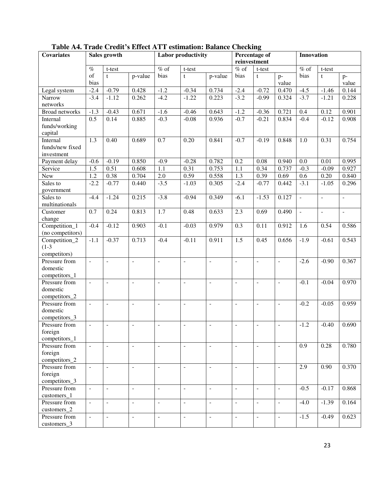| <b>Covariates</b>                                | Sales growth             |                          |                          | <b>Labor productivity</b> |                          |                          | <u> – 8</u><br>Percentage of |                          |                          | Innovation     |                |                |  |
|--------------------------------------------------|--------------------------|--------------------------|--------------------------|---------------------------|--------------------------|--------------------------|------------------------------|--------------------------|--------------------------|----------------|----------------|----------------|--|
|                                                  |                          |                          |                          |                           |                          |                          |                              | reinvestment             |                          |                |                |                |  |
|                                                  | $\%$                     | t-test                   |                          | $\%$ of                   | t-test                   |                          | $%$ of                       | $t$ -test                |                          | $\%$ of        | t-test         |                |  |
|                                                  | of                       | t                        | p-value                  | bias                      | t                        | p-value                  | bias                         | t                        |                          | bias           | t              |                |  |
|                                                  | bias                     |                          |                          |                           |                          |                          |                              |                          | $p-$<br>value            |                |                | $p-$<br>value  |  |
|                                                  | $-2.4$                   | $-0.79$                  | 0.428                    | $-1.2$                    | $-0.34$                  | 0.734                    | $-2.4$                       | $-0.72$                  | 0.470                    | $-4.5$         | $-1.46$        | 0.144          |  |
| Legal system                                     |                          |                          |                          |                           |                          |                          |                              |                          |                          |                |                |                |  |
| Narrow                                           | $-3.4$                   | $-1.12$                  | 0.262                    | $-4.2$                    | $-1.22$                  | 0.223                    | $-3.2$                       | $-0.99$                  | 0.324                    | $-3.7$         | $-1.21$        | 0.228          |  |
| networks                                         |                          |                          |                          |                           |                          |                          |                              |                          |                          |                |                |                |  |
| Broad networks                                   | $-1.3$                   | $-0.43$                  | 0.671                    | $-1.6$                    | $-0.46$                  | 0.643                    | $-1.2$                       | $-0.36$                  | 0.721                    | 0.4            | 0.12           | 0.901          |  |
| Internal                                         | 0.5                      | 0.14                     | 0.885                    | $-0.3$                    | $-0.08$                  | 0.936                    | $-0.7$                       | $-0.21$                  | 0.834                    | $-0.4$         | $-0.12$        | 0.908          |  |
| funds/working                                    |                          |                          |                          |                           |                          |                          |                              |                          |                          |                |                |                |  |
| capital                                          |                          |                          |                          |                           |                          |                          |                              |                          |                          |                |                |                |  |
| Internal                                         | 1.3                      | 0.40                     | 0.689                    | 0.7                       | 0.20                     | 0.841                    | $-0.7$                       | $-0.19$                  | 0.848                    | 1.0            | 0.31           | 0.754          |  |
| funds/new fixed                                  |                          |                          |                          |                           |                          |                          |                              |                          |                          |                |                |                |  |
| investment                                       |                          |                          |                          |                           |                          |                          |                              |                          |                          |                |                |                |  |
| Payment delay                                    | $-0.6$                   | $-0.19$                  | 0.850                    | $-0.9$                    | $-0.28$                  | 0.782                    | 0.2                          | 0.08                     | 0.940                    | 0.0            | 0.01           | 0.995          |  |
| Service                                          | 1.5                      | 0.51                     | 0.608                    | 1.1                       | 0.31                     | 0.753                    | 1.1                          | 0.34                     | 0.737                    | $-0.3$         | $-0.09$        | 0.927          |  |
| New                                              | 1.2                      | 0.38                     | 0.704                    | $2.0\,$                   | 0.59                     | 0.558                    | 1.3                          | 0.39                     | 0.69                     | 0.6            | 0.20           | 0.840          |  |
| Sales to                                         | $-2.2$                   | $-0.77$                  | 0.440                    | $-3.5$                    | $-1.03$                  | 0.305                    | $-2.4$                       | $-0.77$                  | 0.442                    | $-3.1$         | $-1.05$        | 0.296          |  |
| government                                       |                          |                          |                          |                           |                          |                          |                              |                          |                          |                |                |                |  |
| Sales to                                         | $-4.4$                   | $-1.24$                  | 0.215                    | $-3.8$                    | $-0.94$                  | 0.349                    | $-6.1$                       | $-1.53$                  | 0.127                    | $\blacksquare$ | $\omega$       | $\blacksquare$ |  |
| multinationals                                   |                          |                          |                          |                           |                          |                          |                              |                          |                          |                |                |                |  |
|                                                  |                          |                          |                          |                           |                          |                          |                              |                          |                          |                | $\mathbb{Z}^2$ |                |  |
| Customer                                         | 0.7                      | 0.24                     | 0.813                    | $\overline{1.7}$          | 0.48                     | 0.633                    | $\overline{2.3}$             | 0.69                     | 0.490                    | $\mathcal{L}$  |                | $\mathbf{L}$   |  |
| change                                           |                          |                          |                          |                           |                          |                          |                              |                          |                          |                |                |                |  |
| Competition_1                                    | $-0.4$                   | $-0.12$                  | 0.903                    | $-0.1$                    | $-0.03$                  | 0.979                    | 0.3                          | 0.11                     | 0.912                    | 1.6            | 0.54           | 0.586          |  |
| (no competitors)                                 |                          |                          |                          |                           |                          |                          |                              |                          |                          |                |                |                |  |
| Competition <sub><math>\overline{2}</math></sub> | $-1.1$                   | $-0.37$                  | 0.713                    | $-0.4$                    | $-0.11$                  | 0.911                    | 1.5                          | 0.45                     | 0.656                    | $-1.9$         | $-0.61$        | 0.543          |  |
| $(1-3)$                                          |                          |                          |                          |                           |                          |                          |                              |                          |                          |                |                |                |  |
| competitors)                                     |                          |                          |                          |                           |                          |                          |                              |                          |                          |                |                |                |  |
| Pressure from                                    | $\blacksquare$           | $\blacksquare$           | $\blacksquare$           | $\blacksquare$            | $\blacksquare$           | $\blacksquare$           | $\blacksquare$               | $\overline{\phantom{a}}$ | $\sim$                   | $-2.6$         | $-0.90$        | 0.367          |  |
| domestic                                         |                          |                          |                          |                           |                          |                          |                              |                          |                          |                |                |                |  |
| competitors_1                                    |                          |                          |                          |                           |                          |                          |                              |                          |                          |                |                |                |  |
| Pressure from                                    | $\sim$                   | $\sim$                   | $\mathbb{Z}^2$           | $\overline{\phantom{a}}$  | $\mathbb{Z}^2$           | $\blacksquare$           | $\omega$                     | $\sim$                   | $\sim$                   | $-0.1$         | $-0.04$        | 0.970          |  |
| domestic                                         |                          |                          |                          |                           |                          |                          |                              |                          |                          |                |                |                |  |
| competitors_2                                    |                          |                          |                          |                           |                          |                          |                              |                          |                          |                |                |                |  |
| Pressure from                                    | $\blacksquare$           | $\blacksquare$           | $\overline{\phantom{a}}$ | $\blacksquare$            | $\blacksquare$           | $\overline{\phantom{a}}$ | $\blacksquare$               | $\blacksquare$           | $\sim$                   | $-0.2$         | $-0.05$        | 0.959          |  |
| domestic                                         |                          |                          |                          |                           |                          |                          |                              |                          |                          |                |                |                |  |
| competitors_3                                    |                          |                          |                          |                           |                          |                          |                              |                          |                          |                |                |                |  |
| Pressure from                                    | $\blacksquare$           | $\overline{\phantom{a}}$ | $\overline{\phantom{a}}$ | $\overline{\phantom{a}}$  | $\overline{\phantom{a}}$ | $\overline{\phantom{a}}$ | $\blacksquare$               | $\overline{a}$           | $\overline{\phantom{a}}$ | $-1.2$         | $-0.40$        | 0.690          |  |
| foreign                                          |                          |                          |                          |                           |                          |                          |                              |                          |                          |                |                |                |  |
| competitors_1                                    |                          |                          |                          |                           |                          |                          |                              |                          |                          |                |                |                |  |
| Pressure from                                    | $\overline{\phantom{a}}$ | $\sim$                   | $\mathbb{Z}^2$           | $\mathbf{r}$              | $\mathbb{Z}^2$           | $\sim$                   | $\overline{\phantom{a}}$     | $\mathbb{Z}^2$           | $\mathbb{Z}^2$           | 0.9            | 0.28           | 0.780          |  |
| foreign                                          |                          |                          |                          |                           |                          |                          |                              |                          |                          |                |                |                |  |
| competitors_2                                    |                          |                          |                          |                           |                          |                          |                              |                          |                          |                |                |                |  |
| Pressure from                                    |                          |                          |                          |                           |                          |                          |                              |                          |                          | 2.9            | 0.90           | 0.370          |  |
|                                                  | $\blacksquare$           | $\blacksquare$           | $\overline{\phantom{a}}$ | $\blacksquare$            | $\blacksquare$           | $\blacksquare$           | $\blacksquare$               | $\Box$                   | $\blacksquare$           |                |                |                |  |
| foreign                                          |                          |                          |                          |                           |                          |                          |                              |                          |                          |                |                |                |  |
| competitors_3                                    |                          |                          |                          |                           |                          |                          |                              |                          |                          |                |                |                |  |
| Pressure from                                    | $\blacksquare$           | $\blacksquare$           | $\blacksquare$           | $\blacksquare$            | $\blacksquare$           | $\blacksquare$           | $\blacksquare$               | $\blacksquare$           | $\sim$                   | $-0.5$         | $-0.17$        | 0.868          |  |
| customers_1                                      |                          |                          |                          |                           |                          |                          |                              |                          |                          |                |                |                |  |
| Pressure from                                    | $\mathbb{Z}^2$           | $\mathbb{Z}^2$           | $\mathbb{Z}^2$           | $\bar{\phantom{a}}$       | $\omega$                 | $\mathbb{Z}^2$           | $\omega$                     | $\mathbb{Z}^2$           | $\mathbb{Z}^2$           | $-4.0$         | $-1.39$        | 0.164          |  |
| customers_2                                      |                          |                          |                          |                           |                          |                          |                              |                          |                          |                |                |                |  |
| Pressure from                                    | $\blacksquare$           | $\Box$                   | $\Box$                   | $\Box$                    | $\bar{\phantom{a}}$      | $\overline{\phantom{a}}$ | $\omega$                     | $\bar{\phantom{a}}$      | $\sim$                   | $-1.5$         | $-0.49$        | 0.623          |  |
| customers_3                                      |                          |                          |                          |                           |                          |                          |                              |                          |                          |                |                |                |  |

## **Table A4. Trade Credit's Effect ATT estimation: Balance Checking**